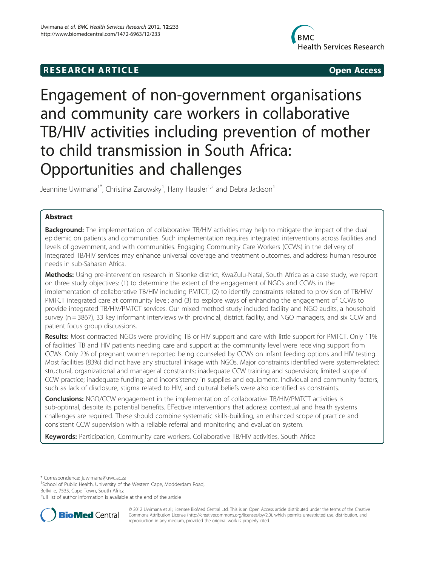## **RESEARCH ARTICLE Example 2018 12:00 Open Access**



# Engagement of non-government organisations and community care workers in collaborative TB/HIV activities including prevention of mother to child transmission in South Africa: Opportunities and challenges

Jeannine Uwimana<sup>1\*</sup>, Christina Zarowsky<sup>1</sup>, Harry Hausler<sup>1,2</sup> and Debra Jackson<sup>1</sup>

## Abstract

**Background:** The implementation of collaborative TB/HIV activities may help to mitigate the impact of the dual epidemic on patients and communities. Such implementation requires integrated interventions across facilities and levels of government, and with communities. Engaging Community Care Workers (CCWs) in the delivery of integrated TB/HIV services may enhance universal coverage and treatment outcomes, and address human resource needs in sub-Saharan Africa.

Methods: Using pre-intervention research in Sisonke district, KwaZulu-Natal, South Africa as a case study, we report on three study objectives: (1) to determine the extent of the engagement of NGOs and CCWs in the implementation of collaborative TB/HIV including PMTCT; (2) to identify constraints related to provision of TB/HIV/ PMTCT integrated care at community level; and (3) to explore ways of enhancing the engagement of CCWs to provide integrated TB/HIV/PMTCT services. Our mixed method study included facility and NGO audits, a household survey (n = 3867), 33 key informant interviews with provincial, district, facility, and NGO managers, and six CCW and patient focus group discussions.

Results: Most contracted NGOs were providing TB or HIV support and care with little support for PMTCT. Only 11% of facilities' TB and HIV patients needing care and support at the community level were receiving support from CCWs. Only 2% of pregnant women reported being counseled by CCWs on infant feeding options and HIV testing. Most facilities (83%) did not have any structural linkage with NGOs. Major constraints identified were system-related: structural, organizational and managerial constraints; inadequate CCW training and supervision; limited scope of CCW practice; inadequate funding; and inconsistency in supplies and equipment. Individual and community factors, such as lack of disclosure, stigma related to HIV, and cultural beliefs were also identified as constraints.

**Conclusions:** NGO/CCW engagement in the implementation of collaborative TB/HIV/PMTCT activities is sub-optimal, despite its potential benefits. Effective interventions that address contextual and health systems challenges are required. These should combine systematic skills-building, an enhanced scope of practice and consistent CCW supervision with a reliable referral and monitoring and evaluation system.

Keywords: Participation, Community care workers, Collaborative TB/HIV activities, South Africa

\* Correspondence: [juwimana@uwc.ac.za](mailto:juwimana@uwc.ac.za) <sup>1</sup>

<sup>1</sup>School of Public Health, University of the Western Cape, Modderdam Road, Bellville, 7535, Cape Town, South Africa

Full list of author information is available at the end of the article



© 2012 Uwimana et al.; licensee BioMed Central Ltd. This is an Open Access article distributed under the terms of the Creative Commons Attribution License [\(http://creativecommons.org/licenses/by/2.0\)](http://creativecommons.org/licenses/by/2.0), which permits unrestricted use, distribution, and reproduction in any medium, provided the original work is properly cited.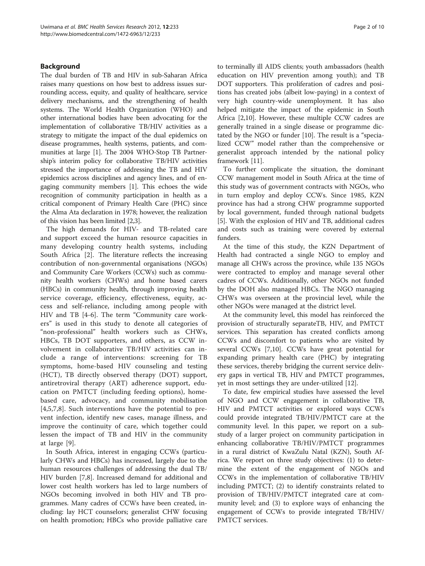## Background

The dual burden of TB and HIV in sub-Saharan Africa raises many questions on how best to address issues surrounding access, equity, and quality of healthcare, service delivery mechanisms, and the strengthening of health systems. The World Health Organization (WHO) and other international bodies have been advocating for the implementation of collaborative TB/HIV activities as a strategy to mitigate the impact of the dual epidemics on disease programmes, health systems, patients, and communities at large [\[1](#page-9-0)]. The 2004 WHO-Stop TB Partnership's interim policy for collaborative TB/HIV activities stressed the importance of addressing the TB and HIV epidemics across disciplines and agency lines, and of engaging community members [\[1\]](#page-9-0). This echoes the wide recognition of community participation in health as a critical component of Primary Health Care (PHC) since the Alma Ata declaration in 1978; however, the realization of this vision has been limited [[2,3](#page-9-0)].

The high demands for HIV- and TB-related care and support exceed the human resource capacities in many developing country health systems, including South Africa [\[2](#page-9-0)]. The literature reflects the increasing contribution of non-governmental organisations (NGOs) and Community Care Workers (CCWs) such as community health workers (CHWs) and home based carers (HBCs) in community health, through improving health service coverage, efficiency, effectiveness, equity, access and self-reliance, including among people with HIV and TB [\[4](#page-9-0)-[6\]](#page-9-0). The term "Community care workers" is used in this study to denote all categories of "non-professional" health workers such as CHWs, HBCs, TB DOT supporters, and others, as CCW involvement in collaborative TB/HIV activities can include a range of interventions: screening for TB symptoms, home-based HIV counseling and testing (HCT), TB directly observed therapy (DOT) support, antiretroviral therapy (ART) adherence support, education on PMTCT (including feeding options), homebased care, advocacy, and community mobilisation [[4,5,7](#page-9-0),[8\]](#page-9-0). Such interventions have the potential to prevent infection, identify new cases, manage illness, and improve the continuity of care, which together could lessen the impact of TB and HIV in the community at large [[9\]](#page-9-0).

In South Africa, interest in engaging CCWs (particularly CHWs and HBCs) has increased, largely due to the human resources challenges of addressing the dual TB/ HIV burden [[7](#page-9-0),[8](#page-9-0)]. Increased demand for additional and lower cost health workers has led to large numbers of NGOs becoming involved in both HIV and TB programmes. Many cadres of CCWs have been created, including: lay HCT counselors; generalist CHW focusing on health promotion; HBCs who provide palliative care to terminally ill AIDS clients; youth ambassadors (health education on HIV prevention among youth); and TB DOT supporters. This proliferation of cadres and positions has created jobs (albeit low-paying) in a context of very high country-wide unemployment. It has also helped mitigate the impact of the epidemic in South Africa [[2,10\]](#page-9-0). However, these multiple CCW cadres are generally trained in a single disease or programme dictated by the NGO or funder [[10](#page-9-0)]. The result is a "specialized CCW" model rather than the comprehensive or generalist approach intended by the national policy framework [[11\]](#page-9-0).

To further complicate the situation, the dominant CCW management model in South Africa at the time of this study was of government contracts with NGOs, who in turn employ and deploy CCWs. Since 1985, KZN province has had a strong CHW programme supported by local government, funded through national budgets [[5\]](#page-9-0). With the explosion of HIV and TB, additional cadres and costs such as training were covered by external funders.

At the time of this study, the KZN Department of Health had contracted a single NGO to employ and manage all CHWs across the province, while 135 NGOs were contracted to employ and manage several other cadres of CCWs. Additionally, other NGOs not funded by the DOH also managed HBCs. The NGO managing CHWs was overseen at the provincial level, while the other NGOs were managed at the district level.

At the community level, this model has reinforced the provision of structurally separateTB, HIV, and PMTCT services. This separation has created conflicts among CCWs and discomfort to patients who are visited by several CCWs [\[7,10](#page-9-0)]. CCWs have great potential for expanding primary health care (PHC) by integrating these services, thereby bridging the current service delivery gaps in vertical TB, HIV and PMTCT programmes, yet in most settings they are under-utilized [[12\]](#page-9-0).

To date, few empirical studies have assessed the level of NGO and CCW engagement in collaborative TB, HIV and PMTCT activities or explored ways CCWs could provide integrated TB/HIV/PMTCT care at the community level. In this paper, we report on a substudy of a larger project on community participation in enhancing collaborative TB/HIV/PMTCT programmes in a rural district of KwaZulu Natal (KZN), South Africa. We report on three study objectives: (1) to determine the extent of the engagement of NGOs and CCWs in the implementation of collaborative TB/HIV including PMTCT; (2) to identify constraints related to provision of TB/HIV/PMTCT integrated care at community level; and (3) to explore ways of enhancing the engagement of CCWs to provide integrated TB/HIV/ PMTCT services.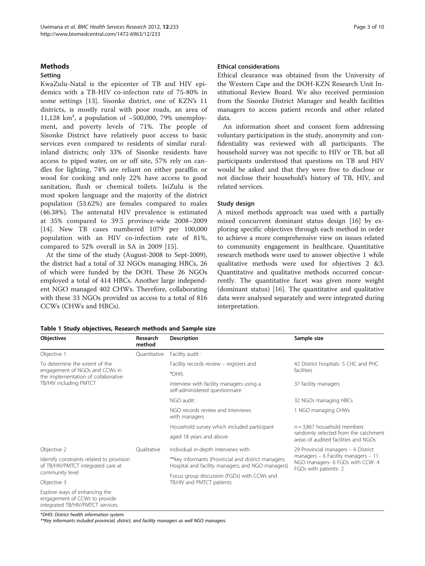#### <span id="page-2-0"></span>**Methods**

### Setting

KwaZulu-Natal is the epicenter of TB and HIV epidemics with a TB-HIV co-infection rate of 75-80% in some settings [\[13](#page-9-0)]. Sisonke district, one of KZN's 11 districts, is mostly rural with poor roads, an area of 11,128 km<sup>2</sup>, a population of  $\sim$  500,000, 79% unemployment, and poverty levels of 71%. The people of Sisonke District have relatively poor access to basic services even compared to residents of similar ruralinland districts; only 33% of Sisonke residents have access to piped water, on or off site, 57% rely on candles for lighting, 74% are reliant on either paraffin or wood for cooking and only 22% have access to good sanitation, flush or chemical toilets. IsiZulu is the most spoken language and the majority of the district population (53.62%) are females compared to males (46.38%). The antenatal HIV prevalence is estimated at 35% compared to 39.5 province-wide 2008–2009 [[14\]](#page-9-0). New TB cases numbered 1079 per 100,000 population with an HIV co-infection rate of 81%, compared to 52% overall in SA in 2009 [\[15](#page-9-0)].

At the time of the study (August-2008 to Sept-2009), the district had a total of 32 NGOs managing HBCs, 26 of which were funded by the DOH. These 26 NGOs employed a total of 414 HBCs. Another large independent NGO managed 402 CHWs. Therefore, collaborating with these 33 NGOs provided us access to a total of 816 CCWs (CHWs and HBCs).

#### Ethical considerations

Ethical clearance was obtained from the University of the Western Cape and the DOH-KZN Research Unit Institutional Review Board. We also received permission from the Sisonke District Manager and health facilities managers to access patient records and other related data.

An information sheet and consent form addressing voluntary participation in the study, anonymity and confidentiality was reviewed with all participants. The household survey was not specific to HIV or TB, but all participants understood that questions on TB and HIV would be asked and that they were free to disclose or not disclose their household's history of TB, HIV, and related services.

#### Study design

A mixed methods approach was used with a partially mixed concurrent dominant status design [[16\]](#page-9-0) by exploring specific objectives through each method in order to achieve a more comprehensive view on issues related to community engagement in healthcare. Quantitative research methods were used to answer objective 1 while qualitative methods were used for objectives 2 &3. Quantitative and qualitative methods occurred concurrently. The quantitative facet was given more weight (dominant status) [[16](#page-9-0)]. The quantitative and qualitative data were analysed separately and were integrated during interpretation.

|  |  | Table 1 Study objectives, Research methods and Sample size |  |  |  |  |  |
|--|--|------------------------------------------------------------|--|--|--|--|--|
|--|--|------------------------------------------------------------|--|--|--|--|--|

| <b>Objectives</b>                                                                                                 | Research<br>method | <b>Description</b>                                                                                        | Sample size                                                                                       |  |
|-------------------------------------------------------------------------------------------------------------------|--------------------|-----------------------------------------------------------------------------------------------------------|---------------------------------------------------------------------------------------------------|--|
| Objective 1                                                                                                       | Quantitative       | Facility audit:                                                                                           |                                                                                                   |  |
| To determine the extent of the                                                                                    |                    | Facility records review - registers and                                                                   | 42 District hospitals- 5 CHC and PHC<br>facilities                                                |  |
| engagement of NGOs and CCWs in<br>the implementation of collaborative                                             |                    | *DHIS                                                                                                     |                                                                                                   |  |
| TB/HIV including PMTCT                                                                                            |                    | Interview with facility managers using a<br>self-administered questionnaire                               | 37 facility managers                                                                              |  |
|                                                                                                                   |                    | NGO audit:                                                                                                | 32 NGOs managing HBCs                                                                             |  |
|                                                                                                                   |                    | NGO records review and interviews<br>with managers                                                        | 1 NGO managing CHWs                                                                               |  |
|                                                                                                                   |                    | Household survey which included participant                                                               | $n = 3,867$ household members                                                                     |  |
|                                                                                                                   |                    | aged 18 years and above                                                                                   | randomly selected from the catchment<br>areas of audited facilities and NGOs                      |  |
| Objective 2                                                                                                       | Qualitative        | Individual in-depth interviews with                                                                       | 29 Provincial managers - 6 District                                                               |  |
| Identify constraints related to provision<br>of TB/HIV/PMTCT integrated care at<br>community level<br>Objective 3 |                    | ** key informants (Provincial and district managers;<br>Hospital and facility managers; and NGO managers) | managers $-6$ Facility managers $-11$<br>NGO managers- 6 FGDs with CCW- 4<br>FGDs with patients-2 |  |
|                                                                                                                   |                    | Focus group discussion (FGDs) with CCWs and                                                               |                                                                                                   |  |
|                                                                                                                   |                    | TB, HIV and PMTCT patients                                                                                |                                                                                                   |  |
| Explore ways of enhancing the<br>engagement of CCWs to provide<br>integrated TB/HIV/PMTCT services.               |                    |                                                                                                           |                                                                                                   |  |

\*DHIS: District health information system.

\*\*Key informants included provincial, district, and facility managers as well NGO managers.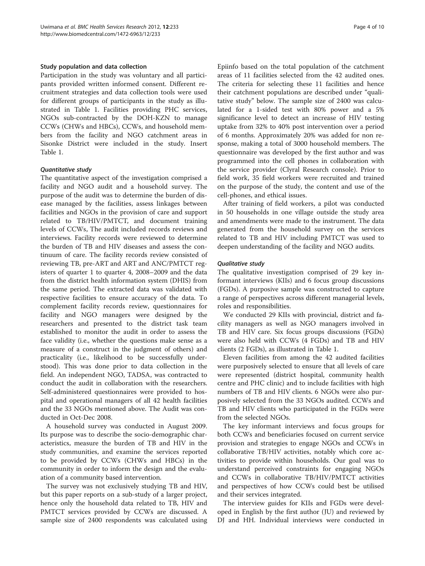#### Study population and data collection

Participation in the study was voluntary and all participants provided written informed consent. Different recruitment strategies and data collection tools were used for different groups of participants in the study as illustrated in Table [1.](#page-2-0) Facilities providing PHC services, NGOs sub-contracted by the DOH-KZN to manage CCWs (CHWs and HBCs), CCWs, and household members from the facility and NGO catchment areas in Sisonke District were included in the study. Insert Table [1.](#page-2-0)

#### Quantitative study

The quantitative aspect of the investigation comprised a facility and NGO audit and a household survey. The purpose of the audit was to determine the burden of disease managed by the facilities, assess linkages between facilities and NGOs in the provision of care and support related to TB/HIV/PMTCT, and document training levels of CCWs, The audit included records reviews and interviews. Facility records were reviewed to determine the burden of TB and HIV diseases and assess the continuum of care. The facility records review consisted of reviewing TB, pre-ART and ART and ANC/PMTCT registers of quarter 1 to quarter 4, 2008–2009 and the data from the district health information system (DHIS) from the same period. The extracted data was validated with respective facilities to ensure accuracy of the data. To complement facility records review, questionnaires for facility and NGO managers were designed by the researchers and presented to the district task team established to monitor the audit in order to assess the face validity (i.e., whether the questions make sense as a measure of a construct in the judgment of others) and practicality (i.e., likelihood to be successfully understood). This was done prior to data collection in the field. An independent NGO, TADSA, was contracted to conduct the audit in collaboration with the researchers. Self-administered questionnaires were provided to hospital and operational managers of all 42 health facilities and the 33 NGOs mentioned above. The Audit was conducted in Oct-Dec 2008.

A household survey was conducted in August 2009. Its purpose was to describe the socio-demographic characteristics, measure the burden of TB and HIV in the study communities, and examine the services reported to be provided by CCWs (CHWs and HBCs) in the community in order to inform the design and the evaluation of a community based intervention.

The survey was not exclusively studying TB and HIV, but this paper reports on a sub-study of a larger project, hence only the household data related to TB, HIV and PMTCT services provided by CCWs are discussed. A sample size of 2400 respondents was calculated using Epiinfo based on the total population of the catchment areas of 11 facilities selected from the 42 audited ones. The criteria for selecting these 11 facilities and hence their catchment populations are described under "qualitative study" below. The sample size of 2400 was calculated for a 1-sided test with 80% power and a 5% significance level to detect an increase of HIV testing uptake from 32% to 40% post intervention over a period of 6 months. Approximately 20% was added for non response, making a total of 3000 household members. The questionnaire was developed by the first author and was programmed into the cell phones in collaboration with the service provider (Clyral Research console). Prior to field work, 35 field workers were recruited and trained on the purpose of the study, the content and use of the cell-phones, and ethical issues.

After training of field workers, a pilot was conducted in 50 households in one village outside the study area and amendments were made to the instrument. The data generated from the household survey on the services related to TB and HIV including PMTCT was used to deepen understanding of the facility and NGO audits.

#### Qualitative study

The qualitative investigation comprised of 29 key informant interviews (KIIs) and 6 focus group discussions (FGDs). A purposive sample was constructed to capture a range of perspectives across different managerial levels, roles and responsibilities.

We conducted 29 KIIs with provincial, district and facility managers as well as NGO managers involved in TB and HIV care. Six focus groups discussions (FGDs) were also held with CCWs (4 FGDs) and TB and HIV clients (2 FGDs), as illustrated in Table [1](#page-2-0).

Eleven facilities from among the 42 audited facilities were purposively selected to ensure that all levels of care were represented (district hospital, community health centre and PHC clinic) and to include facilities with high numbers of TB and HIV clients. 6 NGOs were also purposively selected from the 33 NGOs audited. CCWs and TB and HIV clients who participated in the FGDs were from the selected NGOs.

The key informant interviews and focus groups for both CCWs and beneficiaries focused on current service provision and strategies to engage NGOs and CCWs in collaborative TB/HIV activities, notably which core activities to provide within households. Our goal was to understand perceived constraints for engaging NGOs and CCWs in collaborative TB/HIV/PMTCT activities and perspectives of how CCWs could best be utilised and their services integrated.

The interview guides for KIIs and FGDs were developed in English by the first author (JU) and reviewed by DJ and HH. Individual interviews were conducted in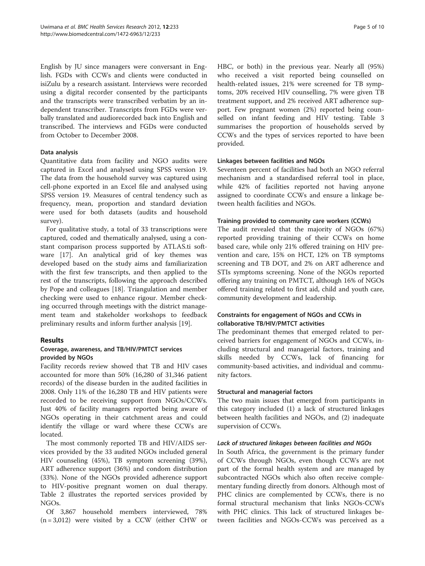English by JU since managers were conversant in English. FGDs with CCWs and clients were conducted in isiZulu by a research assistant. Interviews were recorded using a digital recorder consented by the participants and the transcripts were transcribed verbatim by an independent transcriber. Transcripts from FGDs were verbally translated and audiorecorded back into English and transcribed. The interviews and FGDs were conducted from October to December 2008.

#### Data analysis

Quantitative data from facility and NGO audits were captured in Excel and analysed using SPSS version 19. The data from the household survey was captured using cell-phone exported in an Excel file and analysed using SPSS version 19. Measures of central tendency such as frequency, mean, proportion and standard deviation were used for both datasets (audits and household survey).

For qualitative study, a total of 33 transcriptions were captured, coded and thematically analysed, using a constant comparison process supported by ATLAS.ti software [\[17\]](#page-9-0). An analytical grid of key themes was developed based on the study aims and familiarization with the first few transcripts, and then applied to the rest of the transcripts, following the approach described by Pope and colleagues [\[18\]](#page-9-0). Triangulation and member checking were used to enhance rigour. Member checking occurred through meetings with the district management team and stakeholder workshops to feedback preliminary results and inform further analysis [[19\]](#page-9-0).

#### Results

## Coverage, awareness, and TB/HIV/PMTCT services provided by NGOs

Facility records review showed that TB and HIV cases accounted for more than 50% (16,280 of 31,346 patient records) of the disease burden in the audited facilities in 2008. Only 11% of the 16,280 TB and HIV patients were recorded to be receiving support from NGOs/CCWs. Just 40% of facility managers reported being aware of NGOs operating in their catchment areas and could identify the village or ward where these CCWs are located.

The most commonly reported TB and HIV/AIDS services provided by the 33 audited NGOs included general HIV counseling (45%), TB symptom screening (39%), ART adherence support (36%) and condom distribution (33%). None of the NGOs provided adherence support to HIV-positive pregnant women on dual therapy. Table [2](#page-5-0) illustrates the reported services provided by NGOs.

Of 3,867 household members interviewed, 78%  $(n = 3,012)$  were visited by a CCW (either CHW or HBC, or both) in the previous year. Nearly all (95%) who received a visit reported being counselled on health-related issues, 21% were screened for TB symptoms, 20% received HIV counselling, 7% were given TB treatment support, and 2% received ART adherence support. Few pregnant women (2%) reported being counselled on infant feeding and HIV testing. Table [3](#page-5-0) summarises the proportion of households served by CCWs and the types of services reported to have been provided.

#### Linkages between facilities and NGOs

Seventeen percent of facilities had both an NGO referral mechanism and a standardised referral tool in place, while 42% of facilities reported not having anyone assigned to coordinate CCWs and ensure a linkage between health facilities and NGOs.

#### Training provided to community care workers (CCWs)

The audit revealed that the majority of NGOs (67%) reported providing training of their CCWs on home based care, while only 21% offered training on HIV prevention and care, 15% on HCT, 12% on TB symptoms screening and TB DOT, and 2% on ART adherence and STIs symptoms screening. None of the NGOs reported offering any training on PMTCT, although 16% of NGOs offered training related to first aid, child and youth care, community development and leadership.

## Constraints for engagement of NGOs and CCWs in collaborative TB/HIV/PMTCT activities

The predominant themes that emerged related to perceived barriers for engagement of NGOs and CCWs, including structural and managerial factors, training and skills needed by CCWs, lack of financing for community-based activities, and individual and community factors.

#### Structural and managerial factors

The two main issues that emerged from participants in this category included (1) a lack of structured linkages between health facilities and NGOs, and (2) inadequate supervision of CCWs.

#### Lack of structured linkages between facilities and NGOs

In South Africa, the government is the primary funder of CCWs through NGOs, even though CCWs are not part of the formal health system and are managed by subcontracted NGOs which also often receive complementary funding directly from donors. Although most of PHC clinics are complemented by CCWs, there is no formal structural mechanism that links NGOs-CCWs with PHC clinics. This lack of structured linkages between facilities and NGOs-CCWs was perceived as a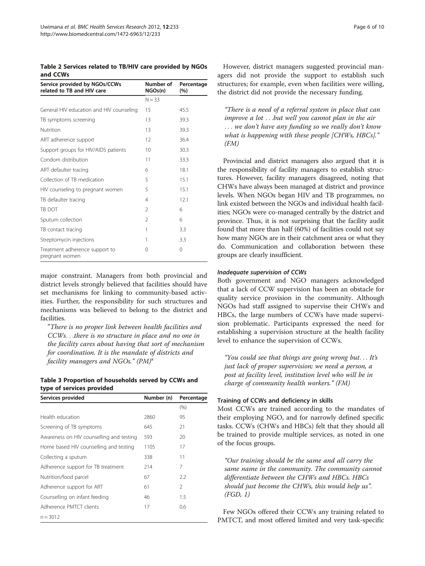<span id="page-5-0"></span>Table 2 Services related to TB/HIV care provided by NGOs and CCWs

| Service provided by NGOs/CCWs<br>related to TB and HIV care | Number of<br>NGOs(n) | Percentage<br>(%) |
|-------------------------------------------------------------|----------------------|-------------------|
|                                                             | $N = 33$             |                   |
| General HIV education and HIV counseling                    | 15                   | 45.5              |
| TB symptoms screening                                       | 13                   | 39.3              |
| Nutrition                                                   | 13                   | 39.3              |
| ART adherence support                                       | 12                   | 36.4              |
| Support groups for HIV/AIDS patients                        | 10                   | 30.3              |
| Condom distribution                                         | 11                   | 33.3              |
| ART defaulter tracing                                       | 6                    | 18.1              |
| Collection of TB medication                                 | 5                    | 15.1              |
| HIV counseling to pregnant women                            | 5                    | 15.1              |
| TB defaulter tracing                                        | 4                    | 12.1              |
| TB DOT                                                      | $\mathfrak{D}$       | 6                 |
| Sputum collection                                           | $\mathfrak{D}$       | 6                 |
| TB contact tracing                                          | 1                    | 3.3               |
| Streptomycin injections                                     | 1                    | 3.3               |
| Treatment adherence support to<br>pregnant women            | $\Omega$             | $\Omega$          |

major constraint. Managers from both provincial and district levels strongly believed that facilities should have set mechanisms for linking to community-based activities. Further, the responsibility for such structures and mechanisms was believed to belong to the district and facilities.

"There is no proper link between health facilities and CCWs...there is no structure in place and no one in the facility cares about having that sort of mechanism for coordination. It is the mandate of districts and facility managers and NGOs."  $(PM)^{a}$ 

Table 3 Proportion of households served by CCWs and type of services provided

| Services provided                        | Number (n) | Percentage     |
|------------------------------------------|------------|----------------|
|                                          |            | (% )           |
| Health education                         | 2860       | 95             |
| Screening of TB symptoms                 | 645        | 21             |
| Awareness on HIV counselling and testing | 593        | 20             |
| Home based HIV counselling and testing   | 1105       | 17             |
| Collecting a sputum                      | 338        | 11             |
| Adherence support for TB treatment       | 214        | 7              |
| Nutrition/food parcel                    | 67         | 2.2            |
| Adherence support for ART                | 61         | $\mathfrak{D}$ |
| Counselling on infant feeding            | 46         | 1.5            |
| Adherence PMTCT clients                  | 17         | 0.6            |
| $n = 3012$                               |            |                |

However, district managers suggested provincial managers did not provide the support to establish such structures; for example, even when facilities were willing, the district did not provide the necessary funding.

"There is a need of a referral system in place that can improve a lot ...but well you cannot plan in the air ... we don't have any funding so we really don't know what is happening with these people [CHWs, HBCs]."  $(FM)$ 

Provincial and district managers also argued that it is the responsibility of facility managers to establish structures. However, facility managers disagreed, noting that CHWs have always been managed at district and province levels. When NGOs began HIV and TB programmes, no link existed between the NGOs and individual health facilities; NGOs were co-managed centrally by the district and province. Thus, it is not surprising that the facility audit found that more than half (60%) of facilities could not say how many NGOs are in their catchment area or what they do. Communication and collaboration between these groups are clearly insufficient.

#### Inadequate supervision of CCWs

Both government and NGO managers acknowledged that a lack of CCW supervision has been an obstacle for quality service provision in the community. Although NGOs had staff assigned to supervise their CHWs and HBCs, the large numbers of CCWs have made supervision problematic. Participants expressed the need for establishing a supervision structure at the health facility level to enhance the supervision of CCWs.

"You could see that things are going wrong but... It's just lack of proper supervision; we need a person, a post at facility level, institution level who will be in charge of community health workers." (FM)

#### Training of CCWs and deficiency in skills

Most CCWs are trained according to the mandates of their employing NGO, and for narrowly defined specific tasks. CCWs (CHWs and HBCs) felt that they should all be trained to provide multiple services, as noted in one of the focus groups.

"Our training should be the same and all carry the same name in the community. The community cannot differentiate between the CHWs and HBCs. HBCs should just become the CHWs, this would help us". (FGD, 1)

Few NGOs offered their CCWs any training related to PMTCT, and most offered limited and very task-specific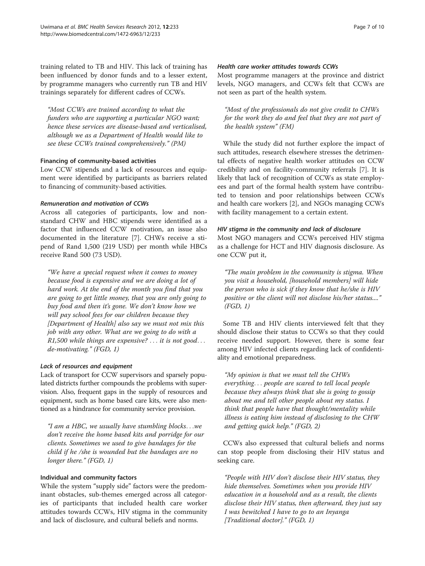training related to TB and HIV. This lack of training has been influenced by donor funds and to a lesser extent, by programme managers who currently run TB and HIV trainings separately for different cadres of CCWs.

"Most CCWs are trained according to what the funders who are supporting a particular NGO want; hence these services are disease-based and verticalised, although we as a Department of Health would like to see these CCWs trained comprehensively." (PM)

#### Financing of community-based activities

Low CCW stipends and a lack of resources and equipment were identified by participants as barriers related to financing of community-based activities.

#### Remuneration and motivation of CCWs

Across all categories of participants, low and nonstandard CHW and HBC stipends were identified as a factor that influenced CCW motivation, an issue also documented in the literature [[7\]](#page-9-0). CHWs receive a stipend of Rand 1,500 (219 USD) per month while HBCs receive Rand 500 (73 USD).

"We have a special request when it comes to money because food is expensive and we are doing a lot of hard work. At the end of the month you find that you are going to get little money, that you are only going to buy food and then it's gone. We don't know how we will pay school fees for our children because they [Department of Health] also say we must not mix this job with any other. What are we going to do with a R1,500 while things are expensive? ... it is not good... de-motivating." (FGD, 1)

#### Lack of resources and equipment

Lack of transport for CCW supervisors and sparsely populated districts further compounds the problems with supervision. Also, frequent gaps in the supply of resources and equipment, such as home based care kits, were also mentioned as a hindrance for community service provision.

"I am a HBC, we usually have stumbling blocks...we don't receive the home based kits and porridge for our clients. Sometimes we used to give bandages for the child if he /she is wounded but the bandages are no longer there." (FGD, 1)

#### Individual and community factors

While the system "supply side" factors were the predominant obstacles, sub-themes emerged across all categories of participants that included health care worker attitudes towards CCWs, HIV stigma in the community and lack of disclosure, and cultural beliefs and norms.

#### Health care worker attitudes towards CCWs

Most programme managers at the province and district levels, NGO managers, and CCWs felt that CCWs are not seen as part of the health system.

"Most of the professionals do not give credit to CHWs for the work they do and feel that they are not part of the health system" (FM)

While the study did not further explore the impact of such attitudes, research elsewhere stresses the detrimental effects of negative health worker attitudes on CCW credibility and on facility-community referrals [[7\]](#page-9-0). It is likely that lack of recognition of CCWs as state employees and part of the formal health system have contributed to tension and poor relationships between CCWs and health care workers [[2\]](#page-9-0), and NGOs managing CCWs with facility management to a certain extent.

#### HIV stigma in the community and lack of disclosure

Most NGO managers and CCWs perceived HIV stigma as a challenge for HCT and HIV diagnosis disclosure. As one CCW put it,

"The main problem in the community is stigma. When you visit a household, [household members] will hide the person who is sick if they know that he/she is HIV positive or the client will not disclose his/her status...." (FGD, 1)

Some TB and HIV clients interviewed felt that they should disclose their status to CCWs so that they could receive needed support. However, there is some fear among HIV infected clients regarding lack of confidentiality and emotional preparedness.

"My opinion is that we must tell the CHWs everything... people are scared to tell local people because they always think that she is going to gossip about me and tell other people about my status. I think that people have that thought/mentality while illness is eating him instead of disclosing to the CHW and getting quick help." (FGD, 2)

CCWs also expressed that cultural beliefs and norms can stop people from disclosing their HIV status and seeking care.

"People with HIV don't disclose their HIV status, they hide themselves. Sometimes when you provide HIV education in a household and as a result, the clients disclose their HIV status, then afterward, they just say I was bewitched I have to go to an Inyanga [Traditional doctor]." (FGD, 1)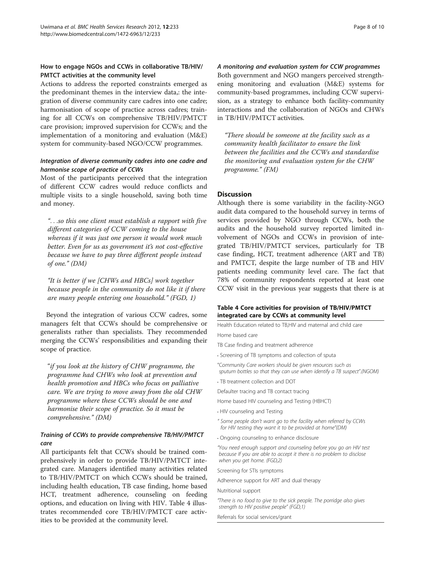## How to engage NGOs and CCWs in collaborative TB/HIV/ PMTCT activities at the community level

Actions to address the reported constraints emerged as the predominant themes in the interview data,: the integration of diverse community care cadres into one cadre; harmonisation of scope of practice across cadres; training for all CCWs on comprehensive TB/HIV/PMTCT care provision; improved supervision for CCWs; and the implementation of a monitoring and evaluation (M&E) system for community-based NGO/CCW programmes.

## Integration of diverse community cadres into one cadre and harmonise scope of practice of CCWs

Most of the participants perceived that the integration of different CCW cadres would reduce conflicts and multiple visits to a single household, saving both time and money.

"...so this one client must establish a rapport with five different categories of CCW coming to the house whereas if it was just one person it would work much better. Even for us as government it's not cost-effective because we have to pay three different people instead of one." (DM)

"It is better if we [CHWs and HBCs] work together because people in the community do not like it if there are many people entering one household." (FGD, 1)

Beyond the integration of various CCW cadres, some managers felt that CCWs should be comprehensive or generalists rather than specialists. They recommended merging the CCWs' responsibilities and expanding their scope of practice.

"if you look at the history of CHW programme, the programme had CHWs who look at prevention and health promotion and HBCs who focus on palliative care. We are trying to move away from the old CHW programme where these CCWs should be one and harmonise their scope of practice. So it must be comprehensive." (DM)

## Training of CCWs to provide comprehensive TB/HIV/PMTCT care

All participants felt that CCWs should be trained comprehensively in order to provide TB/HIV/PMTCT integrated care. Managers identified many activities related to TB/HIV/PMTCT on which CCWs should be trained, including health education, TB case finding, home based HCT, treatment adherence, counseling on feeding options, and education on living with HIV. Table 4 illustrates recommended core TB/HIV/PMTCT care activities to be provided at the community level.

#### A monitoring and evaluation system for CCW programmes

Both government and NGO mangers perceived strengthening monitoring and evaluation (M&E) systems for community-based programmes, including CCW supervision, as a strategy to enhance both facility-community interactions and the collaboration of NGOs and CHWs in TB/HIV/PMTCT activities.

"There should be someone at the facility such as a community health facilitator to ensure the link between the facilities and the CCWs and standardise the monitoring and evaluation system for the CHW programme." (FM)

#### **Discussion**

Although there is some variability in the facility-NGO audit data compared to the household survey in terms of services provided by NGO through CCWs, both the audits and the household survey reported limited involvement of NGOs and CCWs in provision of integrated TB/HIV/PMTCT services, particularly for TB case finding, HCT, treatment adherence (ART and TB) and PMTCT, despite the large number of TB and HIV patients needing community level care. The fact that 78% of community respondents reported at least one CCW visit in the previous year suggests that there is at

## Table 4 Core activities for provision of TB/HIV/PMTCT integrated care by CCWs at community level

Health Education related to TB,HIV and maternal and child care

Home based care

TB Case finding and treatment adherence

• Screening of TB symptoms and collection of sputa

"Community Care workers should be given resources such as sputum bottles so that they can use when identify a TB suspect".(NGOM)

• TB treatment collection and DOT

Defaulter tracing and TB contact tracing

- Home based HIV counseling and Testing (HBHCT)
- HIV counseling and Testing
- " Some people don't want go to the facility when referred by CCWs for HIV testing they want it to be provided at home"(DM)
- Ongoing counseling to enhance disclosure

"You need enough support and counseling before you go an HIV test because If you are able to accept it there is no problem to disclose when you get home. (FGD,2)

Screening for STIs symptoms

Adherence support for ART and dual therapy

Nutritional support

"There is no food to give to the sick people. The porridge also gives strength to HIV positive people" (FGD,1)

Referrals for social services/grant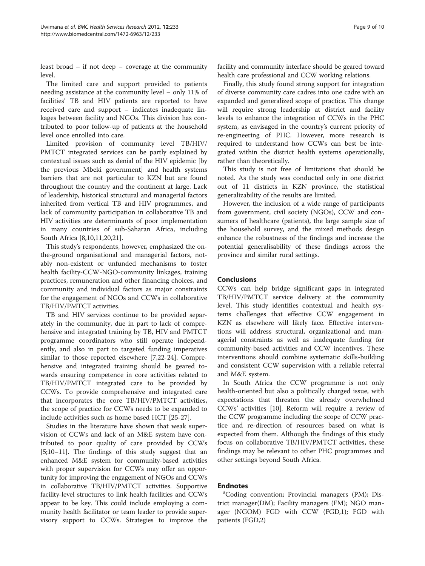least broad – if not deep – coverage at the community level.

The limited care and support provided to patients needing assistance at the community level – only 11% of facilities' TB and HIV patients are reported to have received care and support – indicates inadequate linkages between facility and NGOs. This division has contributed to poor follow-up of patients at the household level once enrolled into care.

Limited provision of community level TB/HIV/ PMTCT integrated services can be partly explained by contextual issues such as denial of the HIV epidemic [by the previous Mbeki government] and health systems barriers that are not particular to KZN but are found throughout the country and the continent at large. Lack of leadership, historical structural and managerial factors inherited from vertical TB and HIV programmes, and lack of community participation in collaborative TB and HIV activities are determinants of poor implementation in many countries of sub-Saharan Africa, including South Africa [[8](#page-9-0),[10](#page-9-0),[11](#page-9-0),[20,21](#page-9-0)].

This study's respondents, however, emphasized the onthe-ground organisational and managerial factors, notably non-existent or unfunded mechanisms to foster health facility-CCW-NGO-community linkages, training practices, remuneration and other financing choices, and community and individual factors as major constraints for the engagement of NGOs and CCWs in collaborative TB/HIV/PMTCT activities.

TB and HIV services continue to be provided separately in the community, due in part to lack of comprehensive and integrated training by TB, HIV and PMTCT programme coordinators who still operate independently, and also in part to targeted funding imperatives similar to those reported elsewhere [[7,22-24](#page-9-0)]. Comprehensive and integrated training should be geared towards ensuring competence in core activities related to TB/HIV/PMTCT integrated care to be provided by CCWs. To provide comprehensive and integrated care that incorporates the core TB/HIV/PMTCT activities, the scope of practice for CCWs needs to be expanded to include activities such as home based HCT [[25-27](#page-9-0)].

Studies in the literature have shown that weak supervision of CCWs and lack of an M&E system have contributed to poor quality of care provided by CCWs [5;10–11]. The findings of this study suggest that an enhanced M&E system for community-based activities with proper supervision for CCWs may offer an opportunity for improving the engagement of NGOs and CCWs in collaborative TB/HIV/PMTCT activities. Supportive facility-level structures to link health facilities and CCWs appear to be key. This could include employing a community health facilitator or team leader to provide supervisory support to CCWs. Strategies to improve the

facility and community interface should be geared toward health care professional and CCW working relations.

Finally, this study found strong support for integration of diverse community care cadres into one cadre with an expanded and generalized scope of practice. This change will require strong leadership at district and facility levels to enhance the integration of CCWs in the PHC system, as envisaged in the country's current priority of re-engineering of PHC. However, more research is required to understand how CCWs can best be integrated within the district health systems operationally, rather than theoretically.

This study is not free of limitations that should be noted. As the study was conducted only in one district out of 11 districts in KZN province, the statistical generalizability of the results are limited.

However, the inclusion of a wide range of participants from government, civil society (NGOs), CCW and consumers of healthcare (patients), the large sample size of the household survey, and the mixed methods design enhance the robustness of the findings and increase the potential generalisability of these findings across the province and similar rural settings.

#### Conclusions

CCWs can help bridge significant gaps in integrated TB/HIV/PMTCT service delivery at the community level. This study identifies contextual and health systems challenges that effective CCW engagement in KZN as elsewhere will likely face. Effective interventions will address structural, organizational and managerial constraints as well as inadequate funding for community-based activities and CCW incentives. These interventions should combine systematic skills-building and consistent CCW supervision with a reliable referral and M&E system.

In South Africa the CCW programme is not only health-oriented but also a politically charged issue, with expectations that threaten the already overwhelmed CCWs' activities [[10](#page-9-0)]. Reform will require a review of the CCW programme including the scope of CCW practice and re-direction of resources based on what is expected from them. Although the findings of this study focus on collaborative TB/HIV/PMTCT activities, these findings may be relevant to other PHC programmes and other settings beyond South Africa.

#### **Endnotes**

Coding convention; Provincial managers (PM); District manager(DM); Facility managers (FM); NGO manager (NGOM) FGD with CCW (FGD,1); FGD with patients (FGD,2)